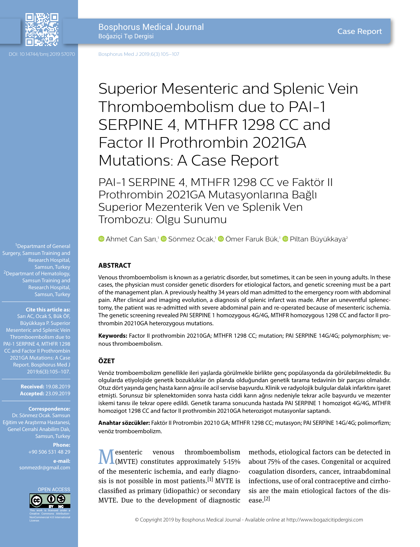

DOI: 10.14744/bmj.2019.57070

Bosphorus Med J 2019;6(3):105–107

# Superior Mesenteric and Splenic Vein Thromboembolism due to PAI-1 SERPINE 4, MTHFR 1298 CC and Factor II Prothrombin 2021GA Mutations: A Case Report

PAI-1 SERPINE 4, MTHFR 1298 CC ve Faktör II Prothrombin 2021GA Mutasyonlarına Bağlı Superior Mezenterik Ven ve Splenik Ven Trombozu: Olgu Sunumu

**D**Ahmet Can Sarı,<sup>1</sup> D Sönmez Ocak,<sup>1</sup> D Ömer Faruk Bük,<sup>1</sup> D Piltan Büyükkaya<sup>2</sup>

# **ABSTRACT**

Venous thromboembolism is known as a geriatric disorder, but sometimes, it can be seen in young adults. In these cases, the physician must consider genetic disorders for etiological factors, and genetic screening must be a part of the management plan. A previously healthy 34 years old man admitted to the emergency room with abdominal pain. After clinical and imaging evolution, a diagnosis of splenic infarct was made. After an uneventful splenectomy, the patient was re-admitted with severe abdominal pain and re-operated because of mesenteric ischemia. The genetic screening revealed PAI SERPINE 1 homozygous 4G/4G, MTHFR homozygous 1298 CC and factor II prothrombin 20210GA heterozygous mutations.

**Keywords:** Factor II prothrombin 20210GA; MTHFR 1298 CC; mutation; PAI SERPINE 14G/4G; polymorphism; venous thromboembolism.

### **ÖZET**

Venöz tromboembolizm genellikle ileri yaşlarda görülmekle birlikte genç popülasyonda da görülebilmektedir. Bu olgularda etiyolojide genetik bozukluklar ön planda olduğundan genetik tarama tedavinin bir parçası olmalıdır. Otuz dört yaşında genç hasta karın ağrısı ile acil servise başvurdu. Klinik ve radyolojik bulgular dalak infarktını işaret etmişti. Sorunsuz bir splenektomiden sonra hasta ciddi karın ağrısı nedeniyle tekrar acile başvurdu ve mezenter iskemi tanısı ile tekrar opere edildi. Genetik tarama sonucunda hastada PAI SERPINE 1 homozigot 4G/4G, MTHFR homozigot 1298 CC and factor II prothrombin 20210GA heterozigot mutasyonlar saptandı.

**Anahtar sözcükler:** Faktör II Protrombin 20210 GA; MTHFR 1298 CC; mutasyon; PAI SERPİNE 14G/4G; polimorfizm; venöz tromboembolizm.

Mesenteric venous thromboembolism (MVTE) constitutes approximately 5-15% of the mesenteric ischemia, and early diagnosis is not possible in most patients.  $[1]$  MVTE is classified as primary (idiopathic) or secondary MVTE. Due to the development of diagnostic

methods, etiological factors can be detected in about 75% of the cases. Congenital or acquired coagulation disorders, cancer, intraabdominal infections, use of oral contraceptive and cirrhosis are the main etiological factors of the disease.[2]

© Copyright 2019 by Bosphorus Medical Journal - Available online at http://www.bogazicitipdergisi.com

<sup>1</sup>Departmant of General Surgery, Samsun Training and Research Hospital, <sup>2</sup>Departmant of Hematology, Samsun Training and Research Hospital,

#### **Cite this article as:**

Sarı AC, Ocak S, Bük ÖF, Büyükkaya P. Superior Mesenteric and Splenic Vein PAI-1 SERPINE 4, MTHFR 1298 CC and Factor II Prothrombin 2021GA Mutations: A Case Report. Bosphorus Med J 2019;6(3):105–107.

> **Received:** 19.08.2019 **Accepted:** 23.09.2019

**Correspondence:**

Dr. Sönmez Ocak. Samsun Eğitim ve Araştırma Hastanesi, Genel Cerrahi Anabilim Dalı, Samsun, Turkey

> **Phone:** +90 506 531 48 29

**e-mail:** sonmezdr@gmail.com

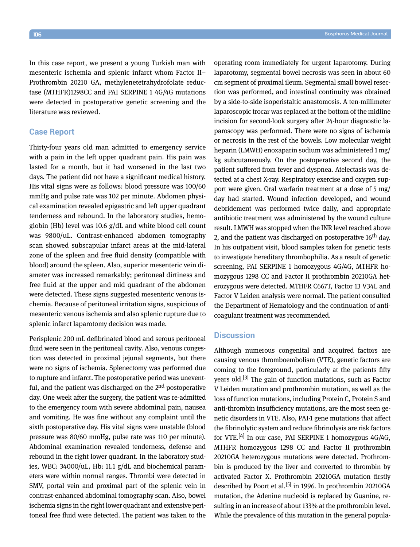In this case report, we present a young Turkish man with mesenteric ischemia and splenic infarct whom Factor II– Prothrombin 20210 GA, methylenetetrahydrofolate reductase (MTHFR)1298CC and PAI SERPINE 1 4G/4G mutations were detected in postoperative genetic screening and the literature was reviewed.

# **Case Report**

Thirty-four years old man admitted to emergency service with a pain in the left upper quadrant pain. His pain was lasted for a month, but it had worsened in the last two days. The patient did not have a significant medical history. His vital signs were as follows: blood pressure was 100/60 mmHg and pulse rate was 102 per minute. Abdomen physical examination revealed epigastric and left upper quadrant tenderness and rebound. In the laboratory studies, hemoglobin (Hb) level was 10.6 g/dL and white blood cell count was 9800/uL. Contrast-enhanced abdomen tomography scan showed subscapular infarct areas at the mid-lateral zone of the spleen and free fluid density (compatible with blood) around the spleen. Also, superior mesenteric vein diameter was increased remarkably; peritoneal dirtiness and free fluid at the upper and mid quadrant of the abdomen were detected. These signs suggested mesenteric venous ischemia. Because of peritoneal irritation signs, suspicious of mesenteric venous ischemia and also splenic rupture due to splenic infarct laparotomy decision was made.

Perisplenic 200 mL defibrinated blood and serous peritoneal fluid were seen in the peritoneal cavity. Also, venous congestion was detected in proximal jejunal segments, but there were no signs of ischemia. Splenectomy was performed due to rupture and infarct. The postoperative period was uneventful, and the patient was discharged on the 2<sup>nd</sup> postoperative day. One week after the surgery, the patient was re-admitted to the emergency room with severe abdominal pain, nausea and vomiting. He was fine without any complaint until the sixth postoperative day. His vital signs were unstable (blood pressure was 80/60 mmHg, pulse rate was 110 per minute). Abdominal examination revealed tenderness, defense and rebound in the right lower quadrant. In the laboratory studies, WBC: 34000/uL, Hb: 11.1 g/dL and biochemical parameters were within normal ranges. Thrombi were detected in SMV, portal vein and proximal part of the splenic vein in contrast-enhanced abdominal tomography scan. Also, bowel ischemia signs in the right lower quadrant and extensive peritoneal free fluid were detected. The patient was taken to the operating room immediately for urgent laparotomy. During laparotomy, segmental bowel necrosis was seen in about 60 cm segment of proximal ileum. Segmental small bowel resection was performed, and intestinal continuity was obtained by a side-to-side isoperistaltic anastomosis. A ten-millimeter laparoscopic trocar was replaced at the bottom of the midline incision for second-look surgery after 24-hour diagnostic laparoscopy was performed. There were no signs of ischemia or necrosis in the rest of the bowels. Low molecular weight heparin (LMWH) enoxaparin sodium was administered 1 mg/ kg subcutaneously. On the postoperative second day, the patient suffered from fever and dyspnea. Atelectasis was detected at a chest X-ray. Respiratory exercise and oxygen support were given. Oral warfarin treatment at a dose of 5 mg/ day had started. Wound infection developed, and wound debridement was performed twice daily, and appropriate antibiotic treatment was administered by the wound culture result. LMWH was stopped when the INR level reached above 2, and the patient was discharged on postoperative  $16<sup>th</sup>$  day. In his outpatient visit, blood samples taken for genetic tests to investigate hereditary thrombophilia. As a result of genetic screening, PAI SERPINE 1 homozygous 4G/4G, MTHFR homozygous 1298 CC and Factor II prothrombin 20210GA heterozygous were detected. MTHFR C667T, Factor 13 V34L and Factor V Leiden analysis were normal. The patient consulted the Department of Hematology and the continuation of anticoagulant treatment was recommended.

# **Discussion**

Although numerous congenital and acquired factors are causing venous thromboembolism (VTE), genetic factors are coming to the foreground, particularly at the patients fifty years old.[3] The gain of function mutations, such as Factor V Leiden mutation and prothrombin mutation, as well as the loss of function mutations, including Protein C, Protein S and anti-thrombin insufficiency mutations, are the most seen genetic disorders in VTE. Also, PAI-1 gene mutations that affect the fibrinolytic system and reduce fibrinolysis are risk factors for VTE.<sup>[4]</sup> In our case, PAI SERPINE 1 homozygous  $4G/4G$ , MTHFR homozygous 1298 CC and Factor II prothrombin 20210GA heterozygous mutations were detected. Prothrombin is produced by the liver and converted to thrombin by activated Factor X. Prothrombin 20210GA mutation firstly described by Poort et al.<sup>[5]</sup> in 1996. In prothrombin 20210GA mutation, the Adenine nucleoid is replaced by Guanine, resulting in an increase of about 133% at the prothrombin level. While the prevalence of this mutation in the general popula-